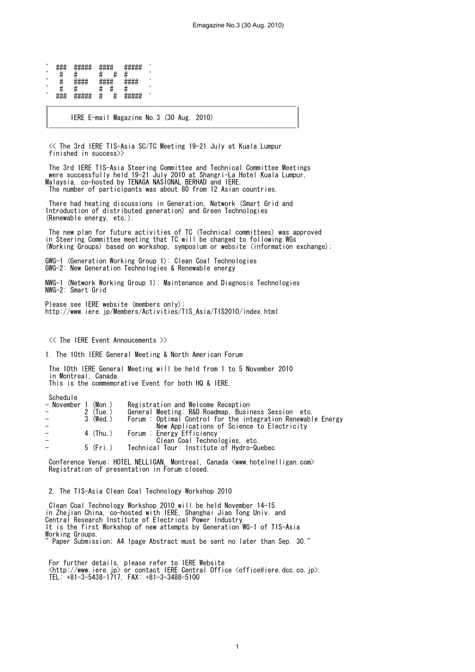| `       | ,, ,, ,,       | ,,,,,,,,,,<br>#####              | $\pi\pi\pi\pi$         |   | <del>*****</del>                          |  |
|---------|----------------|----------------------------------|------------------------|---|-------------------------------------------|--|
| `       | π              |                                  |                        |   |                                           |  |
| `       | π              | <b>ш ш ш ш</b><br>$\pi\pi\pi\pi$ | шшшш<br>$\pi\pi\pi\pi$ |   | 1111111<br><del>.</del>                   |  |
| `       | π              |                                  |                        |   |                                           |  |
| $\cdot$ | <del>###</del> | #####                            | π                      | π | <i>пппп</i> п<br>1000<br><del>*****</del> |  |

|                                                                                                                                                                                                                                                                                      | Emagazine No.3 (30 Aug. 2010)                                                                                                                                                                          |
|--------------------------------------------------------------------------------------------------------------------------------------------------------------------------------------------------------------------------------------------------------------------------------------|--------------------------------------------------------------------------------------------------------------------------------------------------------------------------------------------------------|
|                                                                                                                                                                                                                                                                                      |                                                                                                                                                                                                        |
| #####<br>#####                                                                                                                                                                                                                                                                       |                                                                                                                                                                                                        |
| ###<br>####<br>#<br>#<br>#<br>#<br>####                                                                                                                                                                                                                                              |                                                                                                                                                                                                        |
| ####<br>####<br>$\ddot{t}$<br>#<br>#<br>#                                                                                                                                                                                                                                            |                                                                                                                                                                                                        |
| #<br>#<br>###<br>#####<br>#####                                                                                                                                                                                                                                                      |                                                                                                                                                                                                        |
| IERE E-mail Magazine No.3 (30 Aug. 2010)                                                                                                                                                                                                                                             |                                                                                                                                                                                                        |
| ≪ The 3rd IERE TIS-Asia SC/TC Meeting 19-21 July at Kuala Lumpur<br>finished in success $\gg$                                                                                                                                                                                        |                                                                                                                                                                                                        |
| The 3rd IERE TIS-Asia Steering Committee and Technical Committee Meetings<br>were successfully held 19-21 July 2010 at Shangri-La Hotel Kuala Lumpur,<br>Malaysia, co-hosted by TENAGA NASIONAL BERHAD and IERE.<br>The number of participants was about 80 from 12 Asian countries. |                                                                                                                                                                                                        |
| There had heating discussions in Generation, Network (Smart Grid and<br>Introduction of distributed generation) and Green Technologies<br>(Renewable energy, etc.).                                                                                                                  |                                                                                                                                                                                                        |
| The new plan for future activities of TC (Technical committees) was approved<br>in Steering Committee meeting that TC will be changed to following WGs                                                                                                                               | (Working Groups) based on workshop, symposium or website (information exchange);                                                                                                                       |
| GWG-1 (Generation Working Group 1): Clean Coal Technologies<br>GWG-2: New Generation Technologies & Renewable energy                                                                                                                                                                 |                                                                                                                                                                                                        |
| NWG-1 (Network Working Group 1): Maintenance and Diagnosis Technologies<br>NWG-2: Smart Grid                                                                                                                                                                                         |                                                                                                                                                                                                        |
| Please see IERE website (members only);<br>http://www.iere.jp/Members/Activities/TIS_Asia/TIS2010/index.html                                                                                                                                                                         |                                                                                                                                                                                                        |
|                                                                                                                                                                                                                                                                                      |                                                                                                                                                                                                        |
| $\langle\langle\rangle$ The IFRF Fvent Annoucements $\rangle$                                                                                                                                                                                                                        |                                                                                                                                                                                                        |
| 1. The 10th IERE General Meeting & North American Forum                                                                                                                                                                                                                              |                                                                                                                                                                                                        |
| The 10th IERE General Meeting will be held from 1 to 5 November 2010<br>in Montreal, Canada.                                                                                                                                                                                         |                                                                                                                                                                                                        |
| This is the commemorative Event for both HQ & IERE.                                                                                                                                                                                                                                  |                                                                                                                                                                                                        |
| Schedule<br>- November 1 (Mon.)<br>2 (Tue.)<br>3 (Wed.)                                                                                                                                                                                                                              | Registration and Welcome Reception<br>General Meeting: R&D Roadmap, Business Session etc.<br>Forum: Optimal Control for the integration Renewable Energy<br>New Applications of Science to Electricity |
| 4 (Thu. )<br>Forum : Energy Efficiency<br>5 (Fri.)                                                                                                                                                                                                                                   | Clean Coal Technologies, etc.<br>Technical Tour: Institute of Hydro-Quebec                                                                                                                             |
| Conference Venue: HOTEL NELLIGAN, Montreal, Canada <www.hotelnelligan.com><br/>Registration of presentation in Forum closed.</www.hotelnelligan.com>                                                                                                                                 |                                                                                                                                                                                                        |
| 2. The TIS-Asia Clean Coal Technology Workshop 2010                                                                                                                                                                                                                                  |                                                                                                                                                                                                        |
| Clean Coal Technology Workshop 2010 will be held November 14-15<br>in Zhejian China, co-hosted with IERE, Shanghai Jiao Tong Univ. and<br>Central Research Institute of Electrical Power Industry.                                                                                   |                                                                                                                                                                                                        |
| It is the first Workshop of new attempts by Generation WG-1 of TIS-Asia<br>Working Groups.<br>$\degree$ Paper Submission; A4 1page Abstract must be sent no later than Sep. 30. $\degree$                                                                                            |                                                                                                                                                                                                        |
| For further details, please refer to IERE Website<br><http: www.iere.jp=""> or contact IERE Central Office <office@iere.dcc.co.jp>.<br/>TEL: <math>+81-3-5438-1717</math>, FAX: <math>+81-3-3488-5100</math></office@iere.dcc.co.jp></http:>                                         |                                                                                                                                                                                                        |
|                                                                                                                                                                                                                                                                                      |                                                                                                                                                                                                        |
|                                                                                                                                                                                                                                                                                      |                                                                                                                                                                                                        |
|                                                                                                                                                                                                                                                                                      | 1                                                                                                                                                                                                      |